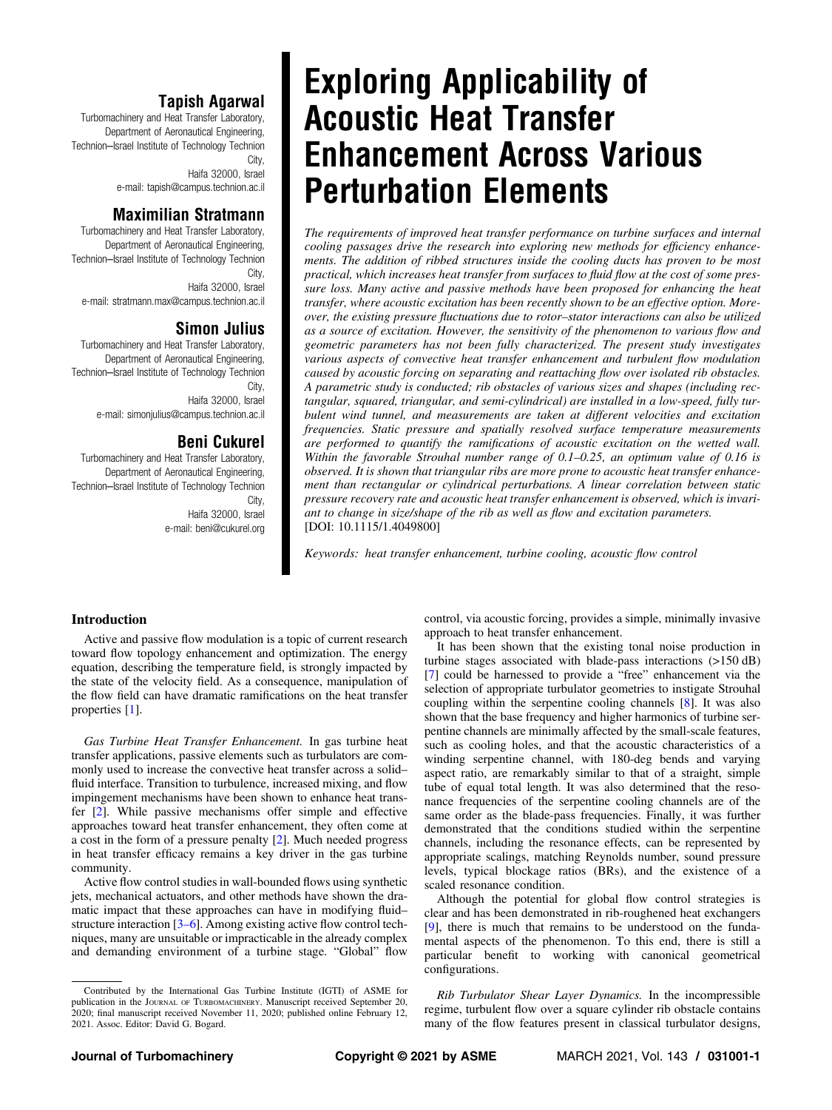Turbomachinery and Heat Transfer Laboratory, Department of Aeronautical Engineering, Technion–Israel Institute of Technology Technion City,

> Haifa 32000, Israel e-mail: [tapish@campus.technion.ac.il](mailto:tapish@campus.technion.ac.il)

# **Maximilian Stratmann**

Turbomachinery and Heat Transfer Laboratory, Department of Aeronautical Engineering, Technion–Israel Institute of Technology Technion City, Haifa 32000, Israel e-mail: [stratmann.max@campus.technion.ac.il](mailto:stratmann.max@campus.technion.ac.il)

# **Simon Julius**

Turbomachinery and Heat Transfer Laboratory, Department of Aeronautical Engineering, Technion–Israel Institute of Technology Technion City, Haifa 32000, Israel e-mail: [simonjulius@campus.technion.ac.il](mailto:simonjulius@campus.technion.ac.il)

# **Beni Cukurel**

Turbomachinery and Heat Transfer Laboratory, Department of Aeronautical Engineering, Technion–Israel Institute of Technology Technion City, Haifa 32000, Israel e-mail: [beni@cukurel.org](mailto:beni@cukurel.org)

# Exploring Applicability of **Enhancement Across Various Perturbation Elements**

Perture Elements of improved heat transfer performance on turbine surfaces and internal<br>The requirements of improved heat transfer performance on turbine surfaces and internal cooling passages drive the research into exploring new methods for efficiency enhancements. The addition of ribbed structures inside the cooling ducts has proven to be most practical, which increases heat transfer from surfaces to fluid flow at the cost of some pressure loss. Many active and passive methods have been proposed for enhancing the heat transfer, where acoustic excitation has been recently shown to be an effective option. Moreover, the existing pressure fluctuations due to rotor–stator interactions can also be utilized as a source of excitation. However, the sensitivity of the phenomenon to various flow and geometric parameters has not been fully characterized. The present study investigates various aspects of convective heat transfer enhancement and turbulent flow modulation caused by acoustic forcing on separating and reattaching flow over isolated rib obstacles. A parametric study is conducted; rib obstacles of various sizes and shapes (including rectangular, squared, triangular, and semi-cylindrical) are installed in a low-speed, fully turbulent wind tunnel, and measurements are taken at different velocities and excitation frequencies. Static pressure and spatially resolved surface temperature measurements are performed to quantify the ramifications of acoustic excitation on the wetted wall. Within the favorable Strouhal number range of 0.1–0.25, an optimum value of 0.16 is observed. It is shown that triangular ribs are more prone to acoustic heat transfer enhancement than rectangular or cylindrical perturbations. A linear correlation between static pressure recovery rate and acoustic heat transfer enhancement is observed, which is invariant to change in size/shape of the rib as well as flow and excitation parameters. [DOI: 10.1115/1.4049800]

Keywords: heat transfer enhancement, turbine cooling, acoustic flow control

## Introduction

Active and passive flow modulation is a topic of current research toward flow topology enhancement and optimization. The energy equation, describing the temperature field, is strongly impacted by the state of the velocity field. As a consequence, manipulation of the flow field can have dramatic ramifications on the heat transfer properties [\[1\]](#page-11-0).

Gas Turbine Heat Transfer Enhancement. In gas turbine heat transfer applications, passive elements such as turbulators are commonly used to increase the convective heat transfer across a solid– fluid interface. Transition to turbulence, increased mixing, and flow impingement mechanisms have been shown to enhance heat transfer [[2](#page-11-0)]. While passive mechanisms offer simple and effective approaches toward heat transfer enhancement, they often come at a cost in the form of a pressure penalty [\[2\]](#page-11-0). Much needed progress in heat transfer efficacy remains a key driver in the gas turbine community.

Active flow control studies in wall-bounded flows using synthetic jets, mechanical actuators, and other methods have shown the dramatic impact that these approaches can have in modifying fluid– structure interaction [3–6]. Among existing active flow control techniques, many are unsuitable or impracticable in the already complex and demanding environment of a turbine stage. "Global" flow control, via acoustic forcing, provides a simple, minimally invasive approach to heat transfer enhancement.

It has been shown that the existing tonal noise production in turbine stages associated with blade-pass interactions (>150 dB) [[7](#page-11-0)] could be harnessed to provide a "free" enhancement via the selection of appropriate turbulator geometries to instigate Strouhal coupling within the serpentine cooling channels [\[8\]](#page-11-0). It was also shown that the base frequency and higher harmonics of turbine serpentine channels are minimally affected by the small-scale features, such as cooling holes, and that the acoustic characteristics of a winding serpentine channel, with 180-deg bends and varying aspect ratio, are remarkably similar to that of a straight, simple tube of equal total length. It was also determined that the resonance frequencies of the serpentine cooling channels are of the same order as the blade-pass frequencies. Finally, it was further demonstrated that the conditions studied within the serpentine channels, including the resonance effects, can be represented by appropriate scalings, matching Reynolds number, sound pressure levels, typical blockage ratios (BRs), and the existence of a scaled resonance condition.

Although the potential for global flow control strategies is clear and has been demonstrated in rib-roughened heat exchangers [[9](#page-11-0)], there is much that remains to be understood on the fundamental aspects of the phenomenon. To this end, there is still a particular benefit to working with canonical geometrical configurations.

Rib Turbulator Shear Layer Dynamics. In the incompressible regime, turbulent flow over a square cylinder rib obstacle contains many of the flow features present in classical turbulator designs,

Contributed by the International Gas Turbine Institute (IGTI) of ASME for publication in the JOURNAL OF TURBOMACHINERY. Manuscript received September 20, 2020; final manuscript received November 11, 2020; published online February 12, 2021. Assoc. Editor: David G. Bogard.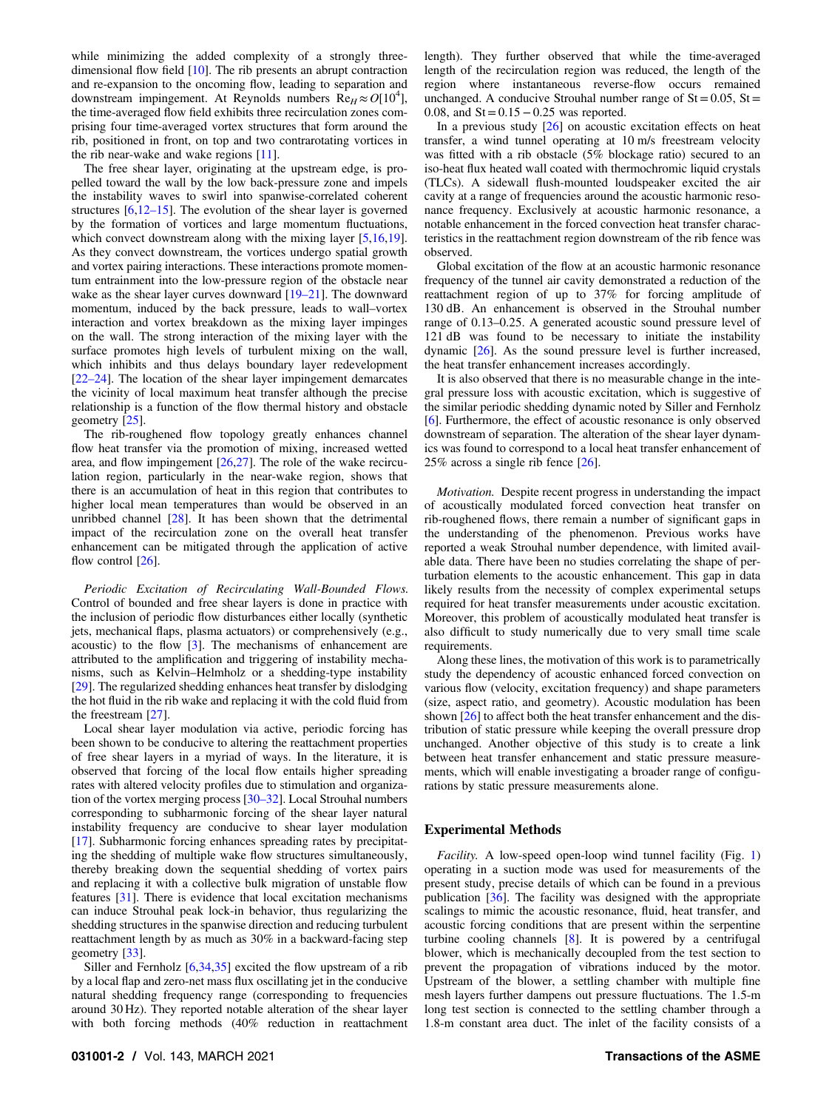while minimizing the added complexity of a strongly threedimensional flow field [\[10](#page-11-0)]. The rib presents an abrupt contraction and re-expansion to the oncoming flow, leading to separation and downstream impingement. At Reynolds numbers  $\text{Re}_H \approx O[10^4]$ , the time-averaged flow field exhibits three recirculation zones comprising four time-averaged vortex structures that form around the rib, positioned in front, on top and two contrarotating vortices in the rib near-wake and wake regions [[11\]](#page-11-0).

The free shear layer, originating at the upstream edge, is propelled toward the wall by the low back-pressure zone and impels the instability waves to swirl into spanwise-correlated coherent structures  $[6,12-15]$  $[6,12-15]$ . The evolution of the shear layer is governed by the formation of vortices and large momentum fluctuations, which convect downstream along with the mixing layer [[5](#page-11-0),[16,19\]](#page-11-0). As they convect downstream, the vortices undergo spatial growth and vortex pairing interactions. These interactions promote momentum entrainment into the low-pressure region of the obstacle near wake as the shear layer curves downward [19–21]. The downward momentum, induced by the back pressure, leads to wall–vortex interaction and vortex breakdown as the mixing layer impinges on the wall. The strong interaction of the mixing layer with the surface promotes high levels of turbulent mixing on the wall, which inhibits and thus delays boundary layer redevelopment [22–24]. The location of the shear layer impingement demarcates the vicinity of local maximum heat transfer although the precise relationship is a function of the flow thermal history and obstacle geometry [\[25](#page-11-0)].

The rib-roughened flow topology greatly enhances channel flow heat transfer via the promotion of mixing, increased wetted area, and flow impingement  $[26,27]$  $[26,27]$  $[26,27]$ . The role of the wake recirculation region, particularly in the near-wake region, shows that there is an accumulation of heat in this region that contributes to higher local mean temperatures than would be observed in an unribbed channel [[28\]](#page-11-0). It has been shown that the detrimental impact of the recirculation zone on the overall heat transfer enhancement can be mitigated through the application of active flow control [\[26](#page-11-0)].

Periodic Excitation of Recirculating Wall-Bounded Flows. Control of bounded and free shear layers is done in practice with the inclusion of periodic flow disturbances either locally (synthetic jets, mechanical flaps, plasma actuators) or comprehensively (e.g., acoustic) to the flow [[3](#page-11-0)]. The mechanisms of enhancement are attributed to the amplification and triggering of instability mechanisms, such as Kelvin–Helmholz or a shedding-type instability [[29\]](#page-11-0). The regularized shedding enhances heat transfer by dislodging the hot fluid in the rib wake and replacing it with the cold fluid from the freestream [\[27](#page-11-0)].

Local shear layer modulation via active, periodic forcing has been shown to be conducive to altering the reattachment properties of free shear layers in a myriad of ways. In the literature, it is observed that forcing of the local flow entails higher spreading rates with altered velocity profiles due to stimulation and organization of the vortex merging process [30–32]. Local Strouhal numbers corresponding to subharmonic forcing of the shear layer natural instability frequency are conducive to shear layer modulation [[17\]](#page-11-0). Subharmonic forcing enhances spreading rates by precipitating the shedding of multiple wake flow structures simultaneously, thereby breaking down the sequential shedding of vortex pairs and replacing it with a collective bulk migration of unstable flow features [\[31](#page-11-0)]. There is evidence that local excitation mechanisms can induce Strouhal peak lock-in behavior, thus regularizing the shedding structures in the spanwise direction and reducing turbulent reattachment length by as much as 30% in a backward-facing step geometry [\[33](#page-11-0)].

Siller and Fernholz [\[6,34,35](#page-11-0)] excited the flow upstream of a rib by a local flap and zero-net mass flux oscillating jet in the conducive natural shedding frequency range (corresponding to frequencies around 30 Hz). They reported notable alteration of the shear layer with both forcing methods (40% reduction in reattachment

031001-2 / Vol. 143, MARCH 2021 **Transactions of the ASME** 

length). They further observed that while the time-averaged length of the recirculation region was reduced, the length of the region where instantaneous reverse-flow occurs remained unchanged. A conducive Strouhal number range of  $St = 0.05$ ,  $St =$ 0.08, and  $St = 0.15 - 0.25$  was reported.

In a previous study  $[26]$  $[26]$  on acoustic excitation effects on heat transfer, a wind tunnel operating at 10 m/s freestream velocity was fitted with a rib obstacle (5% blockage ratio) secured to an iso-heat flux heated wall coated with thermochromic liquid crystals (TLCs). A sidewall flush-mounted loudspeaker excited the air cavity at a range of frequencies around the acoustic harmonic resonance frequency. Exclusively at acoustic harmonic resonance, a notable enhancement in the forced convection heat transfer characteristics in the reattachment region downstream of the rib fence was observed.

Global excitation of the flow at an acoustic harmonic resonance frequency of the tunnel air cavity demonstrated a reduction of the reattachment region of up to 37% for forcing amplitude of 130 dB. An enhancement is observed in the Strouhal number range of 0.13–0.25. A generated acoustic sound pressure level of 121 dB was found to be necessary to initiate the instability dynamic [[26\]](#page-11-0). As the sound pressure level is further increased, the heat transfer enhancement increases accordingly.

It is also observed that there is no measurable change in the integral pressure loss with acoustic excitation, which is suggestive of the similar periodic shedding dynamic noted by Siller and Fernholz [[6](#page-11-0)]. Furthermore, the effect of acoustic resonance is only observed downstream of separation. The alteration of the shear layer dynamics was found to correspond to a local heat transfer enhancement of 25% across a single rib fence [[26\]](#page-11-0).

Motivation. Despite recent progress in understanding the impact of acoustically modulated forced convection heat transfer on rib-roughened flows, there remain a number of significant gaps in the understanding of the phenomenon. Previous works have reported a weak Strouhal number dependence, with limited available data. There have been no studies correlating the shape of perturbation elements to the acoustic enhancement. This gap in data likely results from the necessity of complex experimental setups required for heat transfer measurements under acoustic excitation. Moreover, this problem of acoustically modulated heat transfer is also difficult to study numerically due to very small time scale requirements.

Along these lines, the motivation of this work is to parametrically study the dependency of acoustic enhanced forced convection on various flow (velocity, excitation frequency) and shape parameters (size, aspect ratio, and geometry). Acoustic modulation has been shown [\[26](#page-11-0)] to affect both the heat transfer enhancement and the distribution of static pressure while keeping the overall pressure drop unchanged. Another objective of this study is to create a link between heat transfer enhancement and static pressure measurements, which will enable investigating a broader range of configurations by static pressure measurements alone.

#### Experimental Methods

Facility. A low-speed open-loop wind tunnel facility (Fig. [1](#page-2-0)) operating in a suction mode was used for measurements of the present study, precise details of which can be found in a previous publication [[36\]](#page-11-0). The facility was designed with the appropriate scalings to mimic the acoustic resonance, fluid, heat transfer, and acoustic forcing conditions that are present within the serpentine turbine cooling channels [\[8\]](#page-11-0). It is powered by a centrifugal blower, which is mechanically decoupled from the test section to prevent the propagation of vibrations induced by the motor. Upstream of the blower, a settling chamber with multiple fine mesh layers further dampens out pressure fluctuations. The 1.5-m long test section is connected to the settling chamber through a 1.8-m constant area duct. The inlet of the facility consists of a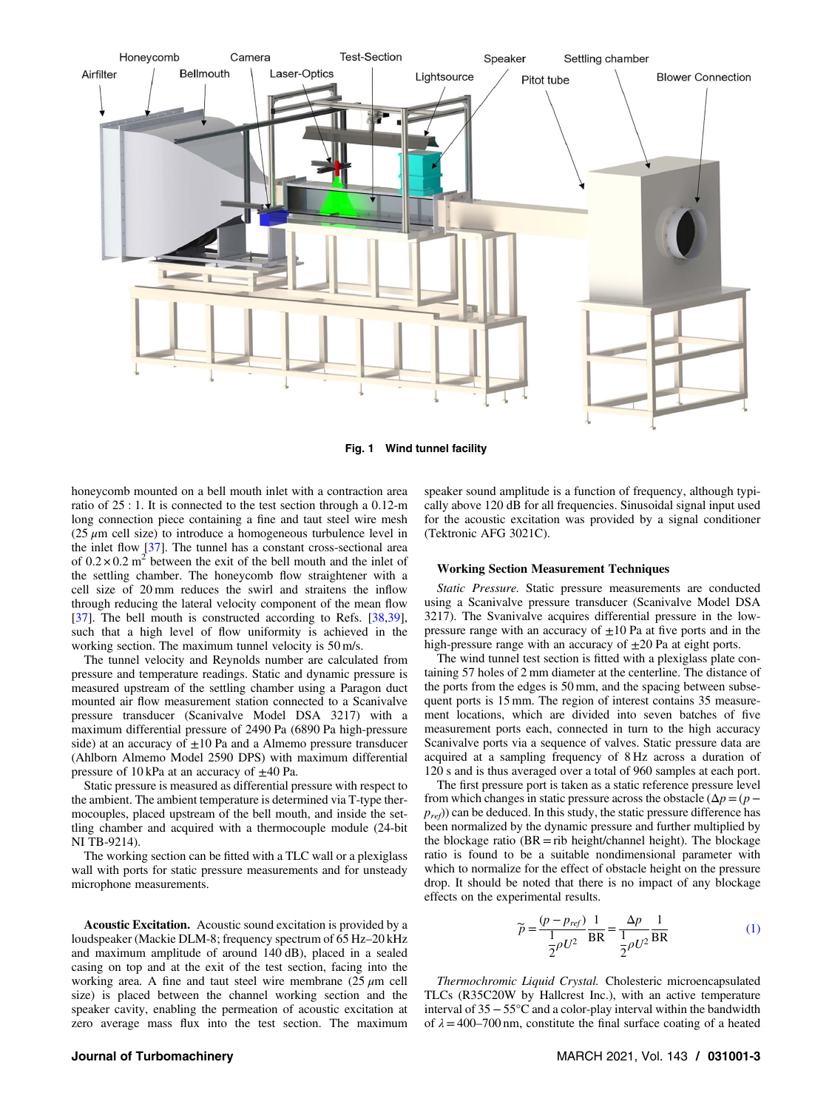<span id="page-2-0"></span>

Fig. 1 Wind tunnel facility

honeycomb mounted on a bell mouth inlet with a contraction area ratio of 25 : 1. It is connected to the test section through a 0.12-m long connection piece containing a fine and taut steel wire mesh (25  $\mu$ m cell size) to introduce a homogeneous turbulence level in the inlet flow [[37\]](#page-11-0). The tunnel has a constant cross-sectional area of  $0.2 \times 0.2$  m<sup>2</sup> between the exit of the bell mouth and the inlet of the settling chamber. The honeycomb flow straightener with a cell size of 20 mm reduces the swirl and straitens the inflow through reducing the lateral velocity component of the mean flow [[37\]](#page-11-0). The bell mouth is constructed according to Refs. [[38,39\]](#page-11-0), such that a high level of flow uniformity is achieved in the working section. The maximum tunnel velocity is 50 m/s.

The tunnel velocity and Reynolds number are calculated from pressure and temperature readings. Static and dynamic pressure is measured upstream of the settling chamber using a Paragon duct mounted air flow measurement station connected to a Scanivalve pressure transducer (Scanivalve Model DSA 3217) with a maximum differential pressure of 2490 Pa (6890 Pa high-pressure side) at an accuracy of  $\pm 10$  Pa and a Almemo pressure transducer (Ahlborn Almemo Model 2590 DPS) with maximum differential pressure of 10 kPa at an accuracy of  $\pm$ 40 Pa.

Static pressure is measured as differential pressure with respect to the ambient. The ambient temperature is determined via T-type thermocouples, placed upstream of the bell mouth, and inside the settling chamber and acquired with a thermocouple module (24-bit NI TB-9214).

The working section can be fitted with a TLC wall or a plexiglass wall with ports for static pressure measurements and for unsteady microphone measurements.

Acoustic Excitation. Acoustic sound excitation is provided by a loudspeaker (Mackie DLM-8; frequency spectrum of 65 Hz–20 kHz and maximum amplitude of around 140 dB), placed in a sealed casing on top and at the exit of the test section, facing into the working area. A fine and taut steel wire membrane  $(25 \mu m \text{ cell})$ size) is placed between the channel working section and the speaker cavity, enabling the permeation of acoustic excitation at zero average mass flux into the test section. The maximum speaker sound amplitude is a function of frequency, although typically above 120 dB for all frequencies. Sinusoidal signal input used for the acoustic excitation was provided by a signal conditioner (Tektronic AFG 3021C).

#### Working Section Measurement Techniques

Static Pressure. Static pressure measurements are conducted using a Scanivalve pressure transducer (Scanivalve Model DSA 3217). The Svanivalve acquires differential pressure in the lowpressure range with an accuracy of  $\pm 10$  Pa at five ports and in the high-pressure range with an accuracy of  $\pm 20$  Pa at eight ports.

The wind tunnel test section is fitted with a plexiglass plate containing 57 holes of 2 mm diameter at the centerline. The distance of the ports from the edges is 50 mm, and the spacing between subsequent ports is 15 mm. The region of interest contains 35 measurement locations, which are divided into seven batches of five measurement ports each, connected in turn to the high accuracy Scanivalve ports via a sequence of valves. Static pressure data are acquired at a sampling frequency of 8 Hz across a duration of 120 s and is thus averaged over a total of 960 samples at each port.

The first pressure port is taken as a static reference pressure level from which changes in static pressure across the obstacle  $(\Delta p = (p$  $p_{ref}$ ) can be deduced. In this study, the static pressure difference has been normalized by the dynamic pressure and further multiplied by the blockage ratio  $(BR = rib \ height/channel \ height)$ . The blockage ratio is found to be a suitable nondimensional parameter with which to normalize for the effect of obstacle height on the pressure drop. It should be noted that there is no impact of any blockage effects on the experimental results.

$$
\widetilde{p} = \frac{(p - p_{ref})}{\frac{1}{2}\rho U^2} \frac{1}{\text{BR}} = \frac{\Delta p}{\frac{1}{2}\rho U^2} \frac{1}{\text{BR}}\tag{1}
$$

Thermochromic Liquid Crystal. Cholesteric microencapsulated TLCs (R35C20W by Hallcrest Inc.), with an active temperature interval of 35−55°C and a color-play interval within the bandwidth of  $\lambda = 400-700$  nm, constitute the final surface coating of a heated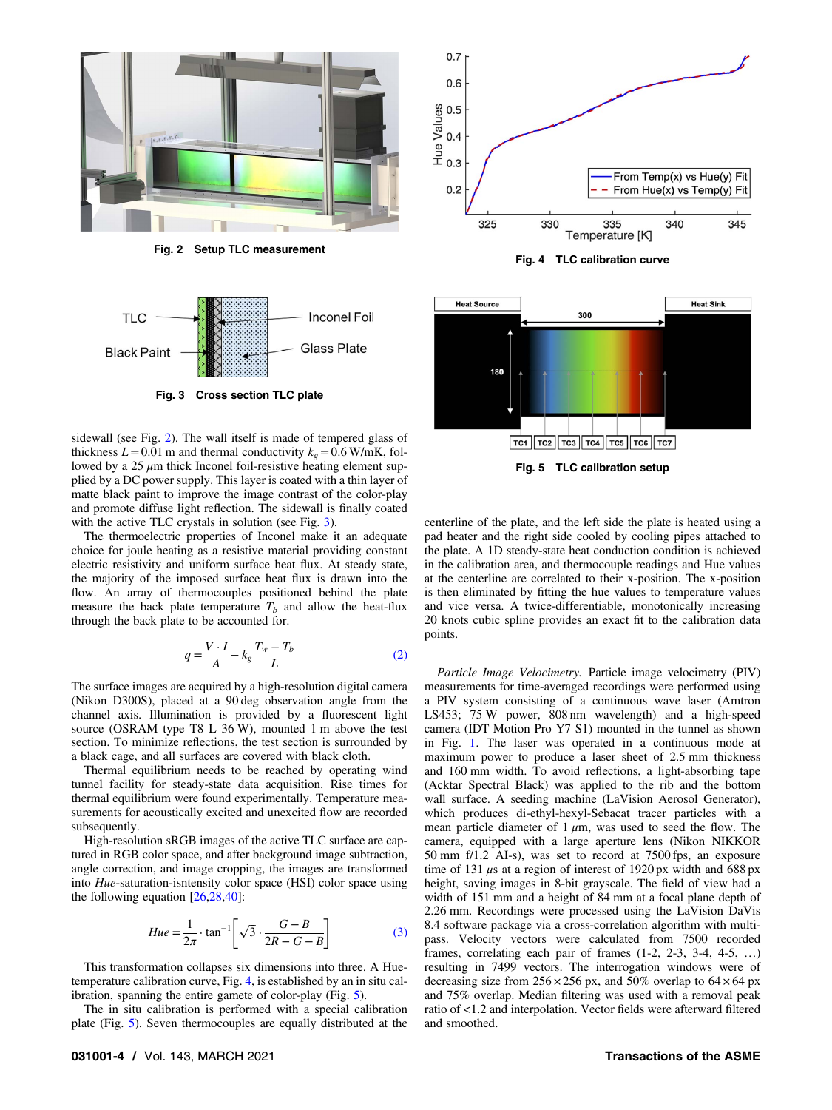

Fig. 2 Setup TLC measurement



sidewall (see Fig. 2). The wall itself is made of tempered glass of thickness  $L = 0.01$  m and thermal conductivity  $k<sub>g</sub> = 0.6$  W/mK, followed by a  $25 \mu m$  thick Inconel foil-resistive heating element supplied by a DC power supply. This layer is coated with a thin layer of matte black paint to improve the image contrast of the color-play and promote diffuse light reflection. The sidewall is finally coated with the active TLC crystals in solution (see Fig. 3).

The thermoelectric properties of Inconel make it an adequate choice for joule heating as a resistive material providing constant electric resistivity and uniform surface heat flux. At steady state, the majority of the imposed surface heat flux is drawn into the flow. An array of thermocouples positioned behind the plate measure the back plate temperature  $T_b$  and allow the heat-flux through the back plate to be accounted for.

$$
q = \frac{V \cdot I}{A} - k_g \frac{T_w - T_b}{L} \tag{2}
$$

The surface images are acquired by a high-resolution digital camera (Nikon D300S), placed at a 90 deg observation angle from the channel axis. Illumination is provided by a fluorescent light source (OSRAM type T8 L 36 W), mounted 1 m above the test section. To minimize reflections, the test section is surrounded by a black cage, and all surfaces are covered with black cloth.

Thermal equilibrium needs to be reached by operating wind tunnel facility for steady-state data acquisition. Rise times for thermal equilibrium were found experimentally. Temperature measurements for acoustically excited and unexcited flow are recorded subsequently.

High-resolution sRGB images of the active TLC surface are captured in RGB color space, and after background image subtraction, angle correction, and image cropping, the images are transformed into Hue-saturation-isntensity color space (HSI) color space using the following equation [\[26,28](#page-11-0),[40\]](#page-11-0):

$$
Hue = \frac{1}{2\pi} \cdot \tan^{-1} \left[ \sqrt{3} \cdot \frac{G - B}{2R - G - B} \right]
$$
 (3)

This transformation collapses six dimensions into three. A Huetemperature calibration curve, Fig. 4, is established by an in situ calibration, spanning the entire gamete of color-play (Fig. 5).

The in situ calibration is performed with a special calibration plate (Fig. 5). Seven thermocouples are equally distributed at the



Fig. 4 TLC calibration curve



centerline of the plate, and the left side the plate is heated using a pad heater and the right side cooled by cooling pipes attached to the plate. A 1D steady-state heat conduction condition is achieved in the calibration area, and thermocouple readings and Hue values at the centerline are correlated to their x-position. The x-position is then eliminated by fitting the hue values to temperature values and vice versa. A twice-differentiable, monotonically increasing 20 knots cubic spline provides an exact fit to the calibration data points.

Particle Image Velocimetry. Particle image velocimetry (PIV) measurements for time-averaged recordings were performed using a PIV system consisting of a continuous wave laser (Amtron LS453; 75 W power, 808 nm wavelength) and a high-speed camera (IDT Motion Pro Y7 S1) mounted in the tunnel as shown in Fig. [1.](#page-2-0) The laser was operated in a continuous mode at maximum power to produce a laser sheet of 2.5 mm thickness and 160 mm width. To avoid reflections, a light-absorbing tape (Acktar Spectral Black) was applied to the rib and the bottom wall surface. A seeding machine (LaVision Aerosol Generator), which produces di-ethyl-hexyl-Sebacat tracer particles with a mean particle diameter of  $1 \mu m$ , was used to seed the flow. The camera, equipped with a large aperture lens (Nikon NIKKOR 50 mm f/1.2 AI-s), was set to record at 7500 fps, an exposure time of 131  $\mu$ s at a region of interest of 1920 px width and 688 px height, saving images in 8-bit grayscale. The field of view had a width of 151 mm and a height of 84 mm at a focal plane depth of 2.26 mm. Recordings were processed using the LaVision DaVis 8.4 software package via a cross-correlation algorithm with multipass. Velocity vectors were calculated from 7500 recorded frames, correlating each pair of frames (1-2, 2-3, 3-4, 4-5, …) resulting in 7499 vectors. The interrogation windows were of decreasing size from  $256 \times 256$  px, and  $50\%$  overlap to  $64 \times 64$  px and 75% overlap. Median filtering was used with a removal peak ratio of <1.2 and interpolation. Vector fields were afterward filtered and smoothed.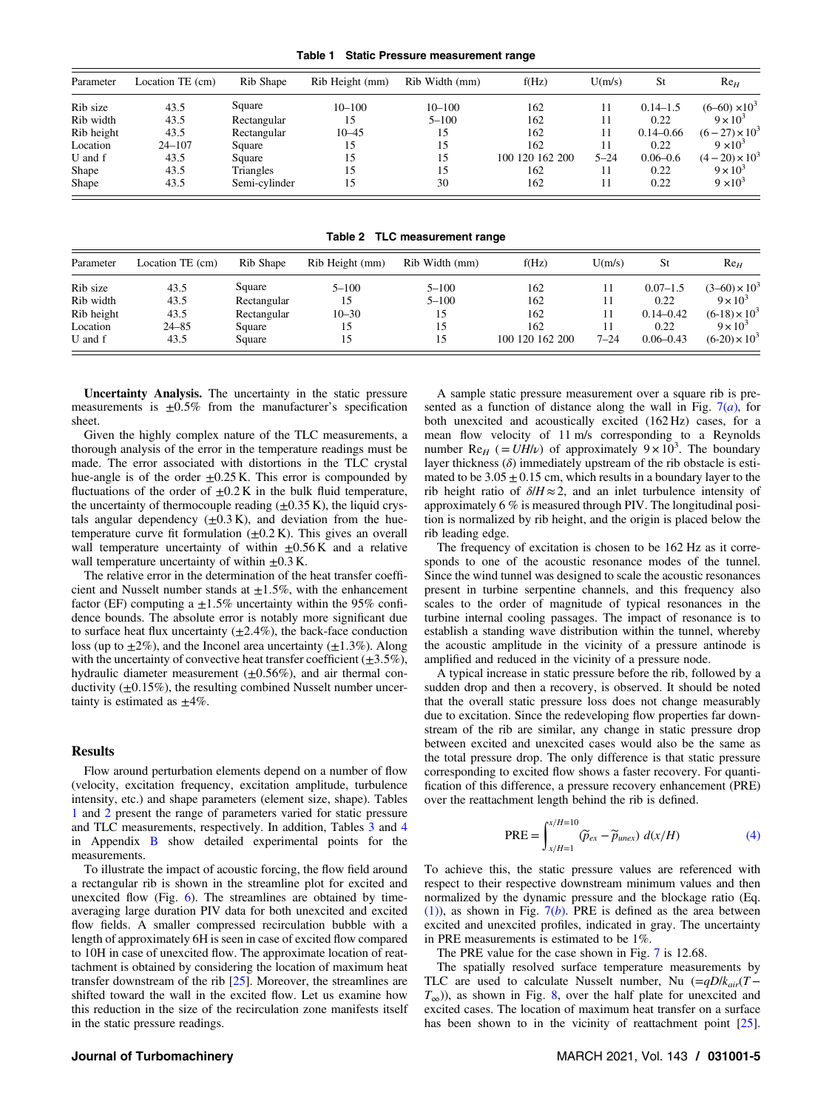Table 1 Static Pressure measurement range

| Parameter  | Location TE (cm) | Rib Shape     | Rib Height (mm) | Rib Width (mm) | f(Hz)           | U(m/s)   | St            | $Re_H$               |
|------------|------------------|---------------|-----------------|----------------|-----------------|----------|---------------|----------------------|
| Rib size   | 43.5             | Square        | $10 - 100$      | $10 - 100$     | 162             | 11       | $0.14 - 1.5$  | $(6-60) \times 10^3$ |
| Rib width  | 43.5             | Rectangular   | 15              | $5 - 100$      | 162             | 11       | 0.22          | $9 \times 10^3$      |
| Rib height | 43.5             | Rectangular   | $10 - 45$       | 15             | 162             | 11       | $0.14 - 0.66$ | $(6-27) \times 10^3$ |
| Location   | $24 - 107$       | Square        | 15              | 15             | 162             | 11       | 0.22          | $9 \times 10^3$      |
| U and f    | 43.5             | Square        | 15              | 15             | 100 120 162 200 | $5 - 24$ | $0.06 - 0.6$  | $(4-20) \times 10^3$ |
| Shape      | 43.5             | Triangles     | 15              | 15             | 162             | 11       | 0.22          | $9 \times 10^3$      |
| Shape      | 43.5             | Semi-cylinder | 15              | 30             | 162             | 11       | 0.22          | $9 \times 10^3$      |

Table 2 TLC measurement range

| Parameter  | Location TE (cm) | Rib Shape   | Rib Height (mm) | Rib Width (mm) | f(Hz)           | U(m/s)   | St            | ${\rm Re}_H$         |
|------------|------------------|-------------|-----------------|----------------|-----------------|----------|---------------|----------------------|
| Rib size   | 43.5             | Square      | $5 - 100$       | $5 - 100$      | 162             | 11       | $0.07 - 1.5$  | $(3-60) \times 10^3$ |
| Rib width  | 43.5             | Rectangular | 15              | $5 - 100$      | 162             | 11       | 0.22          | $9 \times 10^3$      |
| Rib height | 43.5             | Rectangular | $10 - 30$       | 15             | 162             | 11       | $0.14 - 0.42$ | $(6-18) \times 10^3$ |
| Location   | $24 - 85$        | Square      | 15              | 15             | 162             | 11       | 0.22          | $9 \times 10^3$      |
| U and f    | 43.5             | Square      | د،              | 15             | 100 120 162 200 | $7 - 24$ | $0.06 - 0.43$ | $(6-20) \times 10^3$ |

Uncertainty Analysis. The uncertainty in the static pressure measurements is  $\pm 0.5\%$  from the manufacturer's specification sheet.

Given the highly complex nature of the TLC measurements, a thorough analysis of the error in the temperature readings must be made. The error associated with distortions in the TLC crystal hue-angle is of the order  $\pm 0.25$  K. This error is compounded by fluctuations of the order of  $\pm 0.2$  K in the bulk fluid temperature, the uncertainty of thermocouple reading  $(\pm 0.35 \text{ K})$ , the liquid crystals angular dependency  $(\pm 0.3 \text{ K})$ , and deviation from the huetemperature curve fit formulation  $(\pm 0.2 \text{ K})$ . This gives an overall wall temperature uncertainty of within  $\pm 0.56$  K and a relative wall temperature uncertainty of within  $\pm 0.3$  K.

The relative error in the determination of the heat transfer coefficient and Nusselt number stands at  $\pm 1.5\%$ , with the enhancement factor (EF) computing a  $\pm 1.5\%$  uncertainty within the 95% confidence bounds. The absolute error is notably more significant due to surface heat flux uncertainty  $(\pm 2.4\%)$ , the back-face conduction loss (up to  $\pm 2\%$ ), and the Inconel area uncertainty ( $\pm 1.3\%$ ). Along with the uncertainty of convective heat transfer coefficient  $(\pm 3.5\%)$ , hydraulic diameter measurement  $(+0.56\%)$ , and air thermal conductivity  $(\pm 0.15\%)$ , the resulting combined Nusselt number uncertainty is estimated as  $\pm 4\%$ .

#### **Results**

Flow around perturbation elements depend on a number of flow (velocity, excitation frequency, excitation amplitude, turbulence intensity, etc.) and shape parameters (element size, shape). Tables 1 and 2 present the range of parameters varied for static pressure and TLC measurements, respectively. In addition, Tables [3](#page-10-0) and [4](#page-10-0) in Appendix [B](#page-8-0) show detailed experimental points for the measurements.

To illustrate the impact of acoustic forcing, the flow field around a rectangular rib is shown in the streamline plot for excited and unexcited flow (Fig.  $6$ ). The streamlines are obtained by timeaveraging large duration PIV data for both unexcited and excited flow fields. A smaller compressed recirculation bubble with a length of approximately 6H is seen in case of excited flow compared to 10H in case of unexcited flow. The approximate location of reattachment is obtained by considering the location of maximum heat transfer downstream of the rib [\[25](#page-11-0)]. Moreover, the streamlines are shifted toward the wall in the excited flow. Let us examine how this reduction in the size of the recirculation zone manifests itself in the static pressure readings.

#### A sample static pressure measurement over a square rib is presented as a function of distance along the wall in Fig.  $7(a)$  $7(a)$ , for both unexcited and acoustically excited (162 Hz) cases, for a mean flow velocity of 11 m/s corresponding to a Reynolds number Re<sub>H</sub> (=  $UH/\nu$ ) of approximately 9 × 10<sup>3</sup>. The boundary layer thickness  $(\delta)$  immediately upstream of the rib obstacle is estimated to be  $3.05 \pm 0.15$  cm, which results in a boundary layer to the rib height ratio of  $\delta/H \approx 2$ , and an inlet turbulence intensity of approximately 6 % is measured through PIV. The longitudinal position is normalized by rib height, and the origin is placed below the rib leading edge.

The frequency of excitation is chosen to be 162 Hz as it corresponds to one of the acoustic resonance modes of the tunnel. Since the wind tunnel was designed to scale the acoustic resonances present in turbine serpentine channels, and this frequency also scales to the order of magnitude of typical resonances in the turbine internal cooling passages. The impact of resonance is to establish a standing wave distribution within the tunnel, whereby the acoustic amplitude in the vicinity of a pressure antinode is amplified and reduced in the vicinity of a pressure node.

A typical increase in static pressure before the rib, followed by a sudden drop and then a recovery, is observed. It should be noted that the overall static pressure loss does not change measurably due to excitation. Since the redeveloping flow properties far downstream of the rib are similar, any change in static pressure drop between excited and unexcited cases would also be the same as the total pressure drop. The only difference is that static pressure corresponding to excited flow shows a faster recovery. For quantification of this difference, a pressure recovery enhancement (PRE) over the reattachment length behind the rib is defined.

$$
PRE = \int_{x/H=1}^{x/H=10} (\widetilde{p}_{ex} - \widetilde{p}_{uncx}) d(x/H)
$$
 (4)

To achieve this, the static pressure values are referenced with respect to their respective downstream minimum values and then normalized by the dynamic pressure and the blockage ratio (Eq. [\(1\)](#page-2-0)), as shown in Fig.  $7(b)$  $7(b)$ . PRE is defined as the area between excited and unexcited profiles, indicated in gray. The uncertainty in PRE measurements is estimated to be 1%.

The PRE value for the case shown in Fig. [7](#page-5-0) is 12.68.

The spatially resolved surface temperature measurements by TLC are used to calculate Nusselt number, Nu  $(=qD/k<sub>air</sub>(T T_{\infty}$ )), as shown in Fig. [8,](#page-5-0) over the half plate for unexcited and excited cases. The location of maximum heat transfer on a surface has been shown to in the vicinity of reattachment point [[25\]](#page-11-0).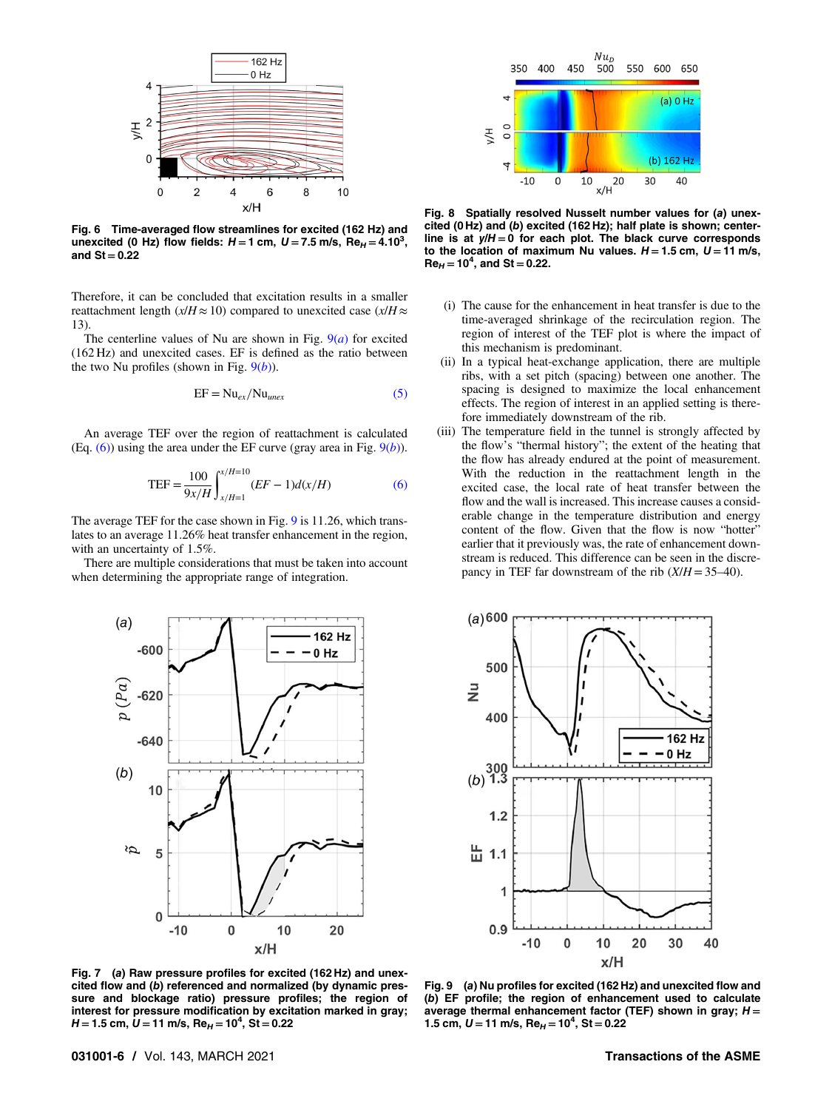<span id="page-5-0"></span>

Fig. 6 Time-averaged flow streamlines for excited (162 Hz) and unexcited (0 Hz) flow fields:  $H = 1$  cm,  $U = 7.5$  m/s,  $Re_H = 4.10^3$ , and  $St = 0.22$ 

Therefore, it can be concluded that excitation results in a smaller reattachment length ( $x/H \approx 10$ ) compared to unexcited case ( $x/H \approx$ 13).

The centerline values of Nu are shown in Fig.  $9(a)$  for excited (162 Hz) and unexcited cases. EF is defined as the ratio between the two Nu profiles (shown in Fig.  $9(b)$ ).

$$
EF = Nu_{ex}/Nu_{unex}
$$
 (5)

An average TEF over the region of reattachment is calculated (Eq.  $(6)$ ) using the area under the EF curve (gray area in Fig.  $9(b)$ ).

$$
TEF = \frac{100}{9x/H} \int_{x/H=1}^{x/H=10} (EF - 1)d(x/H)
$$
 (6)

The average TEF for the case shown in Fig. 9 is 11.26, which translates to an average 11.26% heat transfer enhancement in the region, with an uncertainty of 1.5%.

There are multiple considerations that must be taken into account when determining the appropriate range of integration.



Fig. 7 (a) Raw pressure profiles for excited (162 Hz) and unexcited flow and (b) referenced and normalized (by dynamic pressure and blockage ratio) pressure profiles; the region of interest for pressure modification by excitation marked in gray;  $H$  = 1.5 cm,  $\dot{\bm{U}}$  = 11 m/s, Re $_{H}$  = 10<sup>4</sup>, St = 0.22



Fig. 8 Spatially resolved Nusselt number values for (a) unexcited (0 Hz) and (b) excited (162 Hz); half plate is shown; centerline is at  $y/H = 0$  for each plot. The black curve corresponds to the location of maximum Nu values.  $H = 1.5$  cm,  $U = 11$  m/s,  $Re<sub>H</sub> = 10<sup>4</sup>$ , and St = 0.22.

- (i) The cause for the enhancement in heat transfer is due to the time-averaged shrinkage of the recirculation region. The region of interest of the TEF plot is where the impact of this mechanism is predominant.
- (ii) In a typical heat-exchange application, there are multiple ribs, with a set pitch (spacing) between one another. The spacing is designed to maximize the local enhancement effects. The region of interest in an applied setting is therefore immediately downstream of the rib.
- (iii) The temperature field in the tunnel is strongly affected by the flow's "thermal history"; the extent of the heating that the flow has already endured at the point of measurement. With the reduction in the reattachment length in the excited case, the local rate of heat transfer between the flow and the wall is increased. This increase causes a considerable change in the temperature distribution and energy content of the flow. Given that the flow is now "hotter" earlier that it previously was, the rate of enhancement downstream is reduced. This difference can be seen in the discrepancy in TEF far downstream of the rib  $(X/H = 35-40)$ .



Fig. 9 (a) Nu profiles for excited (162 Hz) and unexcited flow and (b) EF profile; the region of enhancement used to calculate average thermal enhancement factor (TEF) shown in gray;  $H =$ 1.5 cm,  $U = 11$  m/s, Re<sub>H</sub> = 10<sup>4</sup>, St = 0.22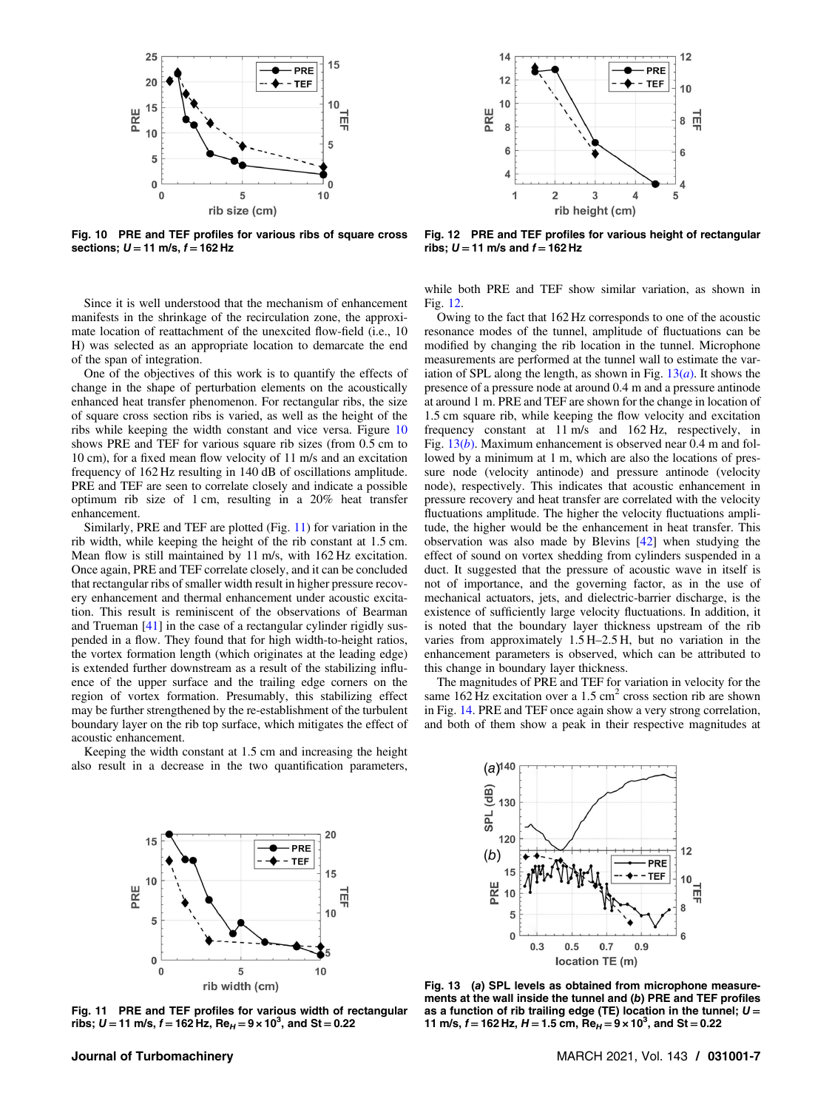

Fig. 10 PRE and TEF profiles for various ribs of square cross sections;  $U = 11$  m/s,  $f = 162$  Hz

Since it is well understood that the mechanism of enhancement manifests in the shrinkage of the recirculation zone, the approximate location of reattachment of the unexcited flow-field (i.e., 10 H) was selected as an appropriate location to demarcate the end of the span of integration.

One of the objectives of this work is to quantify the effects of change in the shape of perturbation elements on the acoustically enhanced heat transfer phenomenon. For rectangular ribs, the size of square cross section ribs is varied, as well as the height of the ribs while keeping the width constant and vice versa. Figure 10 shows PRE and TEF for various square rib sizes (from 0.5 cm to 10 cm), for a fixed mean flow velocity of 11 m/s and an excitation frequency of 162 Hz resulting in 140 dB of oscillations amplitude. PRE and TEF are seen to correlate closely and indicate a possible optimum rib size of 1 cm, resulting in a 20% heat transfer enhancement.

Similarly, PRE and TEF are plotted (Fig. 11) for variation in the rib width, while keeping the height of the rib constant at 1.5 cm. Mean flow is still maintained by 11 m/s, with 162 Hz excitation. Once again, PRE and TEF correlate closely, and it can be concluded that rectangular ribs of smaller width result in higher pressure recovery enhancement and thermal enhancement under acoustic excitation. This result is reminiscent of the observations of Bearman and Trueman [\[41](#page-11-0)] in the case of a rectangular cylinder rigidly suspended in a flow. They found that for high width-to-height ratios, the vortex formation length (which originates at the leading edge) is extended further downstream as a result of the stabilizing influence of the upper surface and the trailing edge corners on the region of vortex formation. Presumably, this stabilizing effect may be further strengthened by the re-establishment of the turbulent boundary layer on the rib top surface, which mitigates the effect of acoustic enhancement.

Keeping the width constant at 1.5 cm and increasing the height also result in a decrease in the two quantification parameters,



Fig. 12 PRE and TEF profiles for various height of rectangular ribs;  $U = 11$  m/s and  $f = 162$  Hz

while both PRE and TEF show similar variation, as shown in Fig. 12.

Owing to the fact that 162 Hz corresponds to one of the acoustic resonance modes of the tunnel, amplitude of fluctuations can be modified by changing the rib location in the tunnel. Microphone measurements are performed at the tunnel wall to estimate the variation of SPL along the length, as shown in Fig.  $13(a)$ . It shows the presence of a pressure node at around 0.4 m and a pressure antinode at around 1 m. PRE and TEF are shown for the change in location of 1.5 cm square rib, while keeping the flow velocity and excitation frequency constant at 11 m/s and 162 Hz, respectively, in Fig.  $13(b)$ . Maximum enhancement is observed near 0.4 m and followed by a minimum at 1 m, which are also the locations of pressure node (velocity antinode) and pressure antinode (velocity node), respectively. This indicates that acoustic enhancement in pressure recovery and heat transfer are correlated with the velocity fluctuations amplitude. The higher the velocity fluctuations amplitude, the higher would be the enhancement in heat transfer. This observation was also made by Blevins [\[42](#page-11-0)] when studying the effect of sound on vortex shedding from cylinders suspended in a duct. It suggested that the pressure of acoustic wave in itself is not of importance, and the governing factor, as in the use of mechanical actuators, jets, and dielectric-barrier discharge, is the existence of sufficiently large velocity fluctuations. In addition, it is noted that the boundary layer thickness upstream of the rib varies from approximately 1.5 H–2.5 H, but no variation in the enhancement parameters is observed, which can be attributed to this change in boundary layer thickness.

The magnitudes of PRE and TEF for variation in velocity for the same  $162$  Hz excitation over a  $1.5$  cm<sup>2</sup> cross section rib are shown in Fig. [14](#page-7-0). PRE and TEF once again show a very strong correlation, and both of them show a peak in their respective magnitudes at



Fig. 11 PRE and TEF profiles for various width of rectangular ribs; U = 11 m/s, f = 162 Hz, Re<sub>H</sub> = 9 × 10<sup>3</sup>, and St = 0.22



Fig. 13 (a) SPL levels as obtained from microphone measurements at the wall inside the tunnel and (b) PRE and TEF profiles as a function of rib trailing edge (TE) location in the tunnel;  $U =$ 11 m/s,  $f = 162$  Hz,  $H = 1.5$  cm,  $\text{Re}_{H} = 9 \times 10^{3}$ , and St = 0.22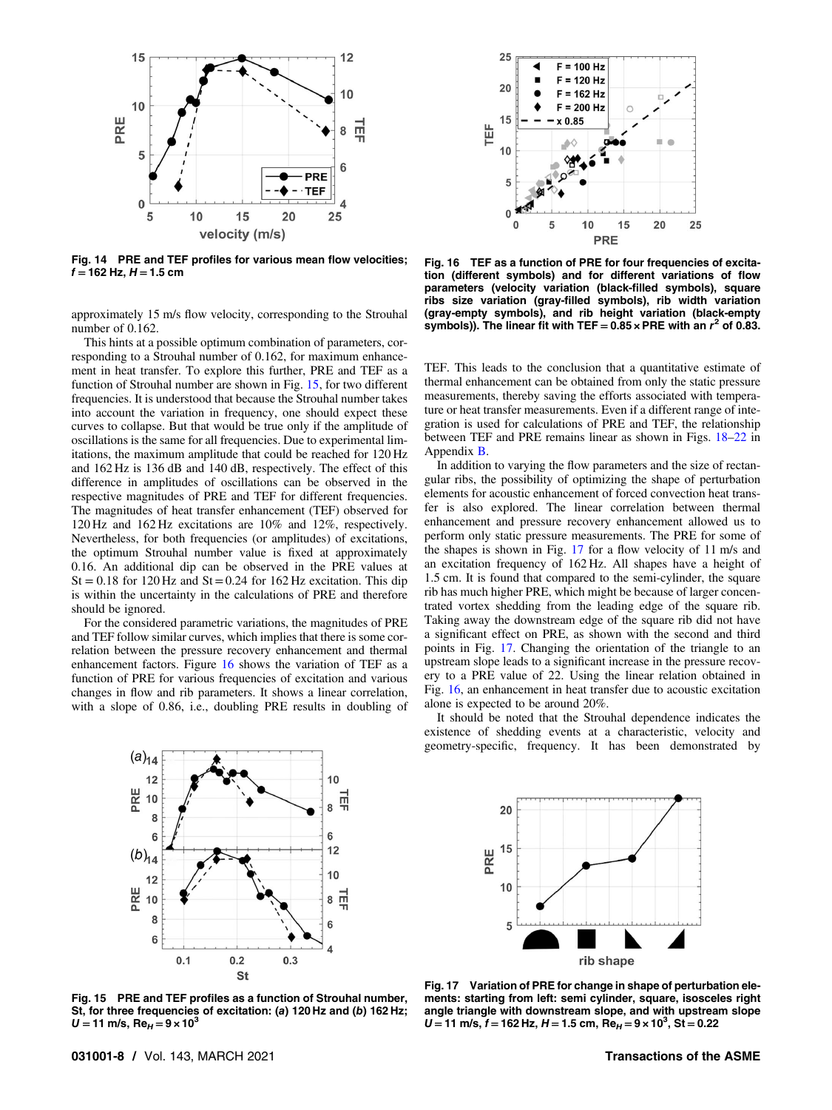<span id="page-7-0"></span>

Fig. 14 PRE and TEF profiles for various mean flow velocities;  $f = 162$  Hz,  $H = 1.5$  cm

approximately 15 m/s flow velocity, corresponding to the Strouhal number of 0.162.

This hints at a possible optimum combination of parameters, corresponding to a Strouhal number of 0.162, for maximum enhancement in heat transfer. To explore this further, PRE and TEF as a function of Strouhal number are shown in Fig. 15, for two different frequencies. It is understood that because the Strouhal number takes into account the variation in frequency, one should expect these curves to collapse. But that would be true only if the amplitude of oscillations is the same for all frequencies. Due to experimental limitations, the maximum amplitude that could be reached for 120 Hz and 162 Hz is 136 dB and 140 dB, respectively. The effect of this difference in amplitudes of oscillations can be observed in the respective magnitudes of PRE and TEF for different frequencies. The magnitudes of heat transfer enhancement (TEF) observed for 120 Hz and 162 Hz excitations are 10% and 12%, respectively. Nevertheless, for both frequencies (or amplitudes) of excitations, the optimum Strouhal number value is fixed at approximately 0.16. An additional dip can be observed in the PRE values at  $St = 0.18$  for 120 Hz and  $St = 0.24$  for 162 Hz excitation. This dip is within the uncertainty in the calculations of PRE and therefore should be ignored.

For the considered parametric variations, the magnitudes of PRE and TEF follow similar curves, which implies that there is some correlation between the pressure recovery enhancement and thermal enhancement factors. Figure 16 shows the variation of TEF as a function of PRE for various frequencies of excitation and various changes in flow and rib parameters. It shows a linear correlation, with a slope of 0.86, i.e., doubling PRE results in doubling of



Fig. 16 TEF as a function of PRE for four frequencies of excitation (different symbols) and for different variations of flow parameters (velocity variation (black-filled symbols), square ribs size variation (gray-filled symbols), rib width variation (gray-empty symbols), and rib height variation (black-empty symbols)). The linear fit with TEF =  $0.85 \times$  PRE with an  $r^2$  of 0.83.

TEF. This leads to the conclusion that a quantitative estimate of thermal enhancement can be obtained from only the static pressure measurements, thereby saving the efforts associated with temperature or heat transfer measurements. Even if a different range of integration is used for calculations of PRE and TEF, the relationship between TEF and PRE remains linear as shown in Figs. [18](#page-9-0)–[22](#page-9-0) in Appendix [B](#page-10-0).

In addition to varying the flow parameters and the size of rectangular ribs, the possibility of optimizing the shape of perturbation elements for acoustic enhancement of forced convection heat transfer is also explored. The linear correlation between thermal enhancement and pressure recovery enhancement allowed us to perform only static pressure measurements. The PRE for some of the shapes is shown in Fig. 17 for a flow velocity of 11 m/s and an excitation frequency of 162 Hz. All shapes have a height of 1.5 cm. It is found that compared to the semi-cylinder, the square rib has much higher PRE, which might be because of larger concentrated vortex shedding from the leading edge of the square rib. Taking away the downstream edge of the square rib did not have a significant effect on PRE, as shown with the second and third points in Fig. 17. Changing the orientation of the triangle to an upstream slope leads to a significant increase in the pressure recovery to a PRE value of 22. Using the linear relation obtained in Fig. 16, an enhancement in heat transfer due to acoustic excitation alone is expected to be around 20%.

It should be noted that the Strouhal dependence indicates the existence of shedding events at a characteristic, velocity and geometry-specific, frequency. It has been demonstrated by



Fig. 15 PRE and TEF profiles as a function of Strouhal number, St, for three frequencies of excitation: (a) 120 Hz and (b) 162 Hz;  $U = 11$  m/s, Re<sub>H</sub> =  $9 \times 10^3$ 



Fig. 17 Variation of PRE for change in shape of perturbation elements: starting from left: semi cylinder, square, isosceles right angle triangle with downstream slope, and with upstream slope  $U = 11 \text{ m/s}, f = 162 \text{ Hz}, H = 1.5 \text{ cm}, \text{Re}_H = 9 \times 10^3, \text{ St} = 0.22$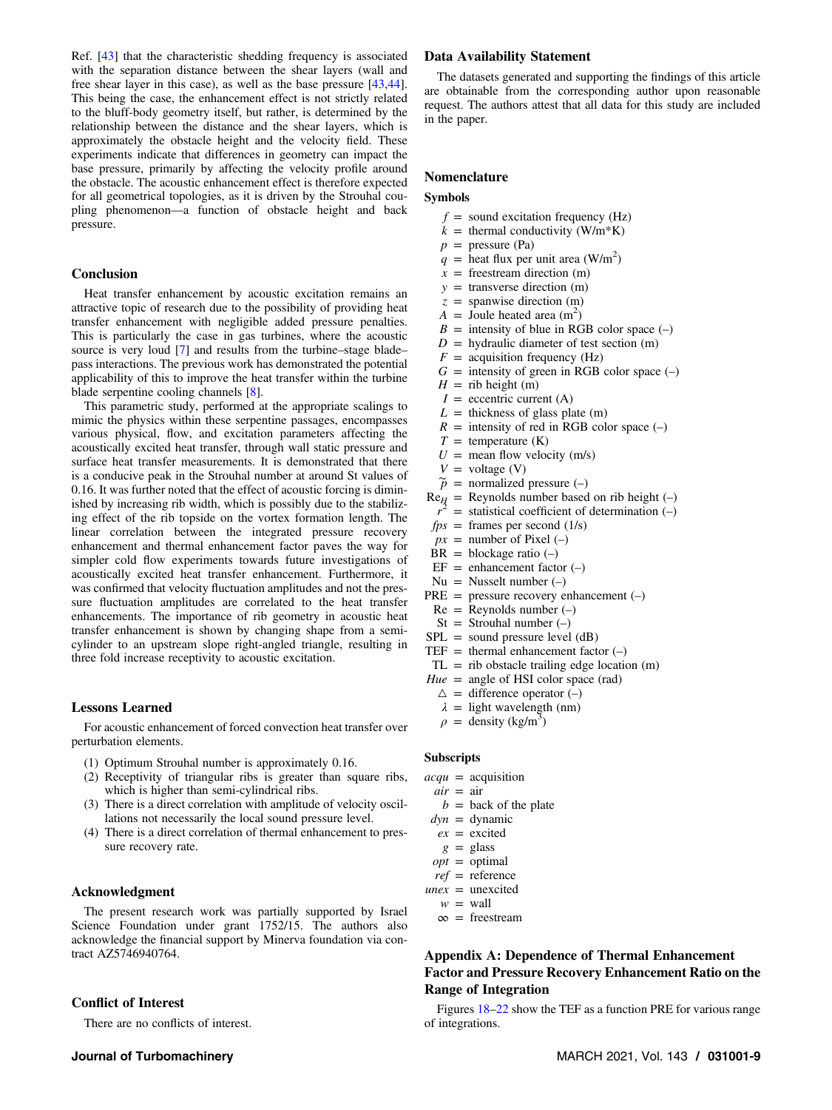<span id="page-8-0"></span>Ref. [[43\]](#page-11-0) that the characteristic shedding frequency is associated with the separation distance between the shear layers (wall and free shear layer in this case), as well as the base pressure [[43,44\]](#page-11-0). This being the case, the enhancement effect is not strictly related to the bluff-body geometry itself, but rather, is determined by the relationship between the distance and the shear layers, which is approximately the obstacle height and the velocity field. These experiments indicate that differences in geometry can impact the base pressure, primarily by affecting the velocity profile around the obstacle. The acoustic enhancement effect is therefore expected for all geometrical topologies, as it is driven by the Strouhal coupling phenomenon—a function of obstacle height and back pressure.

#### Conclusion

Heat transfer enhancement by acoustic excitation remains an attractive topic of research due to the possibility of providing heat transfer enhancement with negligible added pressure penalties. This is particularly the case in gas turbines, where the acoustic source is very loud [[7](#page-11-0)] and results from the turbine–stage blade– pass interactions. The previous work has demonstrated the potential applicability of this to improve the heat transfer within the turbine blade serpentine cooling channels [[8](#page-11-0)].

This parametric study, performed at the appropriate scalings to mimic the physics within these serpentine passages, encompasses various physical, flow, and excitation parameters affecting the acoustically excited heat transfer, through wall static pressure and surface heat transfer measurements. It is demonstrated that there is a conducive peak in the Strouhal number at around St values of 0.16. It was further noted that the effect of acoustic forcing is diminished by increasing rib width, which is possibly due to the stabilizing effect of the rib topside on the vortex formation length. The linear correlation between the integrated pressure recovery enhancement and thermal enhancement factor paves the way for simpler cold flow experiments towards future investigations of acoustically excited heat transfer enhancement. Furthermore, it was confirmed that velocity fluctuation amplitudes and not the pressure fluctuation amplitudes are correlated to the heat transfer enhancements. The importance of rib geometry in acoustic heat transfer enhancement is shown by changing shape from a semicylinder to an upstream slope right-angled triangle, resulting in three fold increase receptivity to acoustic excitation.

#### Lessons Learned

For acoustic enhancement of forced convection heat transfer over perturbation elements.

- (1) Optimum Strouhal number is approximately 0.16.
- (2) Receptivity of triangular ribs is greater than square ribs, which is higher than semi-cylindrical ribs.
- (3) There is a direct correlation with amplitude of velocity oscillations not necessarily the local sound pressure level.
- (4) There is a direct correlation of thermal enhancement to pressure recovery rate.

## Acknowledgment

The present research work was partially supported by Israel Science Foundation under grant 1752/15. The authors also acknowledge the financial support by Minerva foundation via contract AZ5746940764.

## Conflict of Interest

There are no conflicts of interest.

# Data Availability Statement

The datasets generated and supporting the findings of this article are obtainable from the corresponding author upon reasonable request. The authors attest that all data for this study are included in the paper.

## Nomenclature

#### Symbols

- $f =$  sound excitation frequency (Hz)
- $k =$  thermal conductivity (W/m\*K)
- $p =$  pressure (Pa)
- $q =$  heat flux per unit area (W/m<sup>2</sup>)
- $x =$  freestream direction (m)
- $y =$  transverse direction (m)
- $z =$  spanwise direction (m)
- $\vec{A}$  = Joule heated area (m<sup>2</sup>)
- $B =$  intensity of blue in RGB color space  $(-)$
- $D =$  hydraulic diameter of test section (m)
- $F =$  acquisition frequency (Hz)
- $G =$  intensity of green in RGB color space  $(-)$
- $H =$ rib height (m)
- $I =$  eccentric current (A)
- $L =$  thickness of glass plate (m)
- $R =$  intensity of red in RGB color space  $(-)$
- $T =$  temperature (K)
- $U =$  mean flow velocity (m/s)
- $V =$  voltage (V)
- $\widetilde{p}$  = normalized pressure (-)
- $Re_{H}$  = Reynolds number based on rib height (-)  $\vec{r}^2$  = statistical coefficient of determination (-)
- $fps =$  frames per second (1/s)
- $px =$  number of Pixel (–)
- $BR = blockage ratio (-)$
- $EF =$  enhancement factor  $(-)$
- $Nu = Nusselt number (-)$
- $PRE$  = pressure recovery enhancement  $(-)$
- $Re = Repnolds number (-)$
- $St = Strouhal number (-)$
- $SPL$  = sound pressure level (dB)
- TEF = thermal enhancement factor  $(-)$
- $TL = rib$  obstacle trailing edge location  $(m)$
- $Hue = angle of HSI color space (rad)$ 
	- $\triangle$  = difference operator (–)
	- $\lambda$  = light wavelength (nm)
	- $\rho =$  density (kg/m<sup>3</sup>)

#### Subscripts

- $acqu = acquistion$
- $air = air$
- $b =$  back of the plate
- $dyn =$  dynamic
- $ex =$  excited
- $g =$  glass
- $opt = optimal$
- $ref = reference$
- $uncx =$  unexcited  $w =$  wall
	- $\infty$  = freestream

# Appendix A: Dependence of Thermal Enhancement Factor and Pressure Recovery Enhancement Ratio on the Range of Integration

Figures [18](#page-9-0)–[22](#page-9-0) show the TEF as a function PRE for various range of integrations.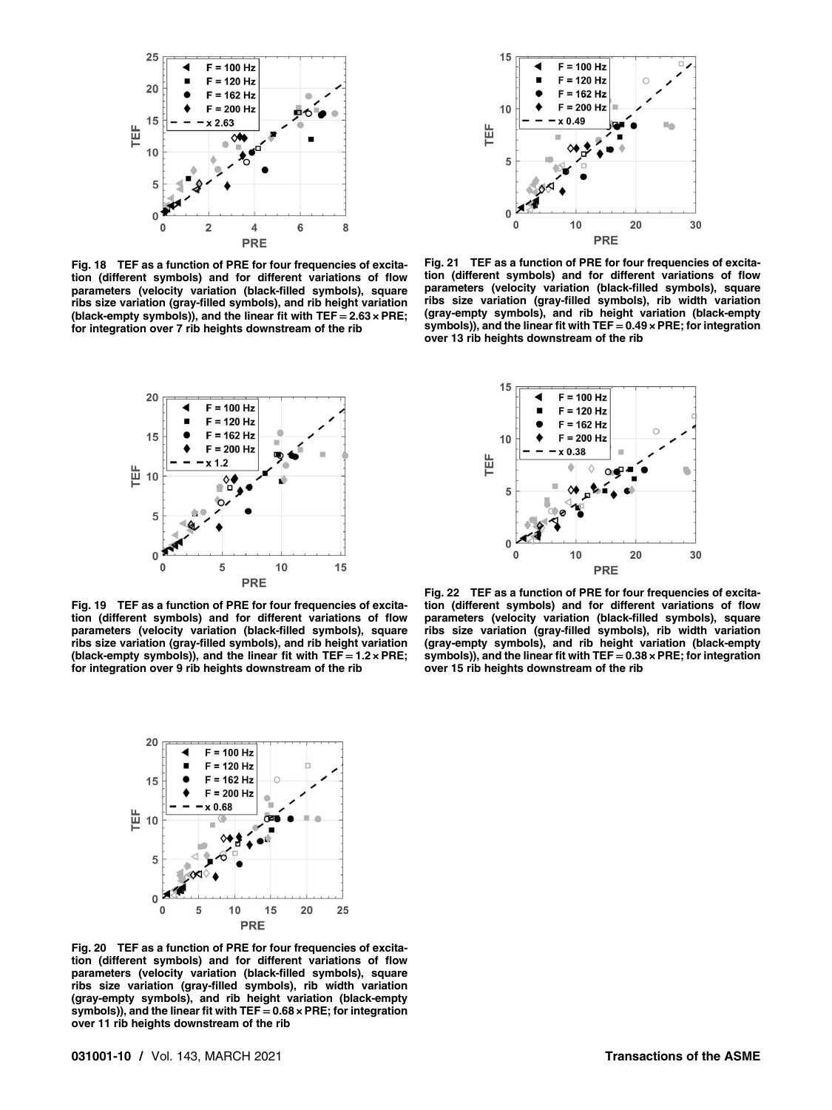<span id="page-9-0"></span>

Fig. 18 TEF as a function of PRE for four frequencies of excitation (different symbols) and for different variations of flow parameters (velocity variation (black-filled symbols), square ribs size variation (gray-filled symbols), and rib height variation (black-empty symbols)), and the linear fit with  $TEF = 2.63 \times PRE$ ; for integration over 7 rib heights downstream of the rib



Fig. 21 TEF as a function of PRE for four frequencies of excitation (different symbols) and for different variations of flow parameters (velocity variation (black-filled symbols), square ribs size variation (gray-filled symbols), rib width variation (gray-empty symbols), and rib height variation (black-empty symbols)), and the linear fit with  $TEF = 0.49 \times PRE$ ; for integration over 13 rib heights downstream of the rib





Fig. 19 TEF as a function of PRE for four frequencies of excitation (different symbols) and for different variations of flow parameters (velocity variation (black-filled symbols), square ribs size variation (gray-filled symbols), and rib height variation (black-empty symbols)), and the linear fit with  $TEF = 1.2 \times PRE$ ; for integration over 9 rib heights downstream of the rib

Fig. 22 TEF as a function of PRE for four frequencies of excitation (different symbols) and for different variations of flow parameters (velocity variation (black-filled symbols), square ribs size variation (gray-filled symbols), rib width variation (gray-empty symbols), and rib height variation (black-empty symbols)), and the linear fit with TEF  $= 0.38 \times PRE$ ; for integration over 15 rib heights downstream of the rib



Fig. 20 TEF as a function of PRE for four frequencies of excitation (different symbols) and for different variations of flow parameters (velocity variation (black-filled symbols), square ribs size variation (gray-filled symbols), rib width variation (gray-empty symbols), and rib height variation (black-empty symbols)), and the linear fit with  $TEF = 0.68 \times PRE$ ; for integration over 11 rib heights downstream of the rib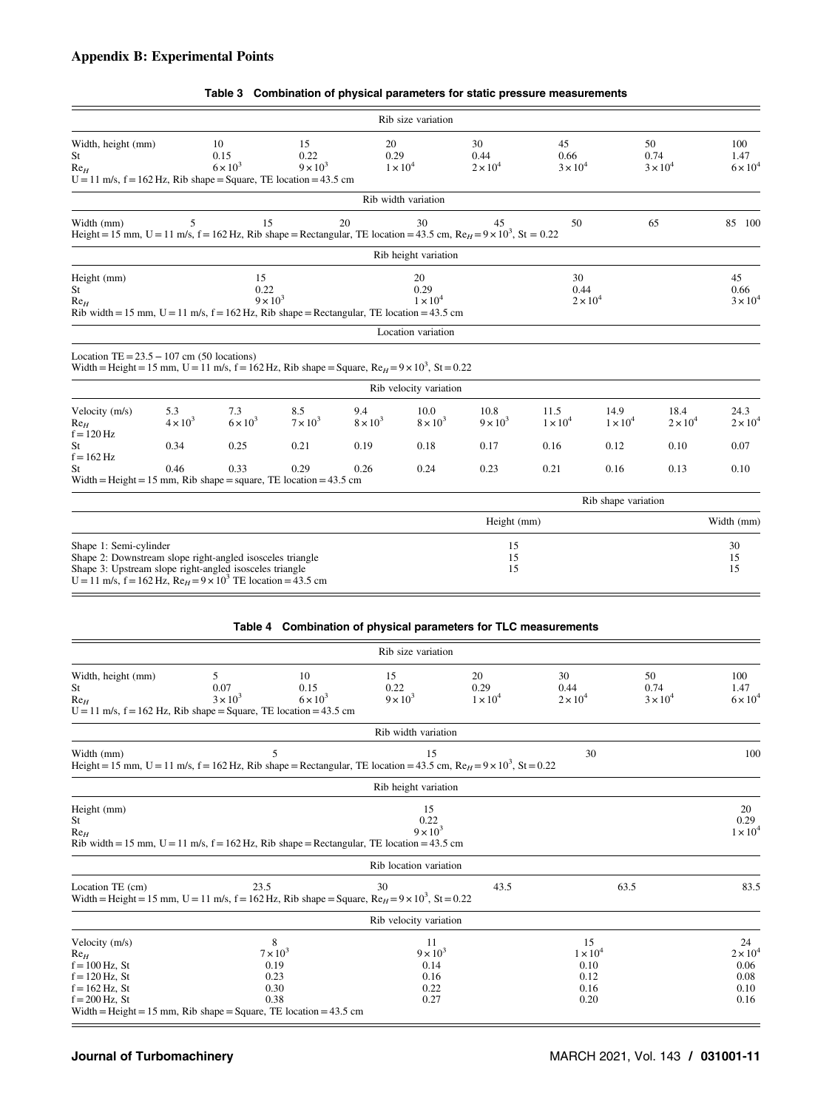# <span id="page-10-0"></span>Appendix B: Experimental Points

|                                                                                                                                                                                                                           |                        |                               |                               |                        |                               | Table 3 Combination of physical parameters for static pressure measurements |                               |                         |                               |                                |
|---------------------------------------------------------------------------------------------------------------------------------------------------------------------------------------------------------------------------|------------------------|-------------------------------|-------------------------------|------------------------|-------------------------------|-----------------------------------------------------------------------------|-------------------------------|-------------------------|-------------------------------|--------------------------------|
|                                                                                                                                                                                                                           |                        |                               |                               |                        | Rib size variation            |                                                                             |                               |                         |                               |                                |
| Width, height (mm)<br>St<br>Re <sub>H</sub><br>$U = 11$ m/s, $f = 162$ Hz, Rib shape = Square, TE location = 43.5 cm                                                                                                      |                        | 10<br>0.15<br>$6 \times 10^3$ | 15<br>0.22<br>$9 \times 10^3$ | 20<br>0.29             | $1 \times 10^4$               | 30<br>0.44<br>$2 \times 10^4$                                               | 45<br>0.66<br>$3 \times 10^4$ |                         | 50<br>0.74<br>$3 \times 10^4$ | 100<br>1.47<br>$6 \times 10^4$ |
|                                                                                                                                                                                                                           |                        |                               |                               |                        | Rib width variation           |                                                                             |                               |                         |                               |                                |
| Width (mm)<br>Height = 15 mm, U = 11 m/s, f = 162 Hz, Rib shape = Rectangular, TE location = 43.5 cm, $ReH = 9 \times 10^3$ , St = 0.22                                                                                   | 5                      | 15                            |                               | 20                     | 30                            | 45                                                                          | 50                            |                         | 65                            | 85 100                         |
|                                                                                                                                                                                                                           |                        |                               |                               |                        | Rib height variation          |                                                                             |                               |                         |                               |                                |
| Height (mm)<br>St<br>Re <sub>H</sub><br>Rib width = 15 mm, $U = 11$ m/s, $f = 162$ Hz, Rib shape = Rectangular, TE location = 43.5 cm                                                                                     |                        | 15<br>0.22<br>$9 \times 10^3$ |                               |                        | 20<br>0.29<br>$1 \times 10^4$ |                                                                             | 30<br>0.44<br>$2 \times 10^4$ |                         |                               | 45<br>0.66<br>$3 \times 10^4$  |
|                                                                                                                                                                                                                           |                        |                               |                               |                        | Location variation            |                                                                             |                               |                         |                               |                                |
| Location TE = $23.5 - 107$ cm (50 locations)<br>Width = Height = 15 mm, U = 11 m/s, f = 162 Hz, Rib shape = Square, $ReH$ = 9 × 10 <sup>3</sup> , St = 0.22                                                               |                        |                               |                               |                        |                               |                                                                             |                               |                         |                               |                                |
|                                                                                                                                                                                                                           |                        |                               |                               |                        | Rib velocity variation        |                                                                             |                               |                         |                               |                                |
| Velocity (m/s)<br>$Re_H$<br>$f = 120$ Hz                                                                                                                                                                                  | 5.3<br>$4 \times 10^3$ | 7.3<br>$6 \times 10^3$        | 8.5<br>$7 \times 10^3$        | 9.4<br>$8 \times 10^3$ | 10.0<br>$8 \times 10^3$       | 10.8<br>$9 \times 10^3$                                                     | 11.5<br>$1 \times 10^4$       | 14.9<br>$1 \times 10^4$ | 18.4<br>$2 \times 10^4$       | 24.3<br>$2 \times 10^4$        |
| St<br>$f = 162$ Hz                                                                                                                                                                                                        | 0.34                   | 0.25                          | 0.21                          | 0.19                   | 0.18                          | 0.17                                                                        | 0.16                          | 0.12                    | 0.10                          | 0.07                           |
| St<br>Width = Height = $15 \text{ mm}$ , Rib shape = square, TE location = $43.5 \text{ cm}$                                                                                                                              | 0.46                   | 0.33                          | 0.29                          | 0.26                   | 0.24                          | 0.23                                                                        | 0.21                          | 0.16                    | 0.13                          | 0.10                           |
|                                                                                                                                                                                                                           |                        |                               |                               |                        |                               |                                                                             |                               | Rib shape variation     |                               |                                |
|                                                                                                                                                                                                                           |                        |                               |                               |                        |                               | Height (mm)                                                                 |                               |                         |                               | Width (mm)                     |
| Shape 1: Semi-cylinder<br>Shape 2: Downstream slope right-angled isosceles triangle<br>Shape 3: Upstream slope right-angled isosceles triangle<br>$U = 11$ m/s, $f = 162$ Hz, $ReH = 9 \times 10^3$ TE location = 43.5 cm |                        |                               |                               |                        |                               | 15<br>15<br>15                                                              |                               |                         |                               | 30<br>15<br>15                 |
|                                                                                                                                                                                                                           |                        |                               |                               |                        |                               | Table 4 Combination of physical parameters for TLC measurements             |                               |                         |                               |                                |
|                                                                                                                                                                                                                           |                        |                               |                               |                        | Rib size variation            |                                                                             |                               |                         |                               |                                |
| Width, height (mm)<br>St<br>$Re_H$<br>$U = 11$ m/s, $f = 162$ Hz, Rib shape = Square, TE location = 43.5 cm                                                                                                               |                        | 5<br>0.07<br>$3 \times 10^3$  | 10<br>0.15<br>$6 \times 10^3$ | 15<br>0.22             | $9 \times 10^3$               | 20<br>0.29<br>$1 \times 10^4$                                               | 30<br>0.44<br>$2 \times 10^4$ |                         | 50<br>0.74<br>$3 \times 10^4$ | 100<br>1.47<br>$6 \times 10^4$ |

|                                                                                               |                                              | Rib width variation                                                                                                                    |      |                                               |                                               |
|-----------------------------------------------------------------------------------------------|----------------------------------------------|----------------------------------------------------------------------------------------------------------------------------------------|------|-----------------------------------------------|-----------------------------------------------|
| Width (mm)                                                                                    | 5                                            | 15<br>Height = 15 mm, U = 11 m/s, f = 162 Hz, Rib shape = Rectangular, TE location = 43.5 cm, $Re_H$ = 9 x 10 <sup>3</sup> , St = 0.22 |      | 30                                            | 100                                           |
|                                                                                               |                                              | Rib height variation                                                                                                                   |      |                                               |                                               |
| Height (mm)<br>St<br>Re <sub>H</sub>                                                          |                                              | 15<br>0.22<br>$9 \times 10^3$<br>Rib width = 15 mm, $U = 11$ m/s, $f = 162$ Hz, Rib shape = Rectangular, TE location = 43.5 cm         |      |                                               | 20<br>0.29<br>$1 \times 10^4$                 |
|                                                                                               |                                              | Rib location variation                                                                                                                 |      |                                               |                                               |
| Location TE (cm)                                                                              | 23.5                                         | 30<br>Width = Height = 15 mm, U = 11 m/s, f = 162 Hz, Rib shape = Square, $ReH$ = 9 x 10 <sup>3</sup> , St = 0.22                      | 43.5 | 63.5                                          | 83.5                                          |
|                                                                                               |                                              | Rib velocity variation                                                                                                                 |      |                                               |                                               |
| Velocity (m/s)<br>Re <sub>H</sub><br>$f = 100$ Hz, St<br>$f = 120$ Hz, St<br>$f = 162$ Hz, St | 8<br>$7 \times 10^3$<br>0.19<br>0.23<br>0.30 | 11<br>$9 \times 10^3$<br>0.14<br>0.16<br>0.22                                                                                          |      | 15<br>$1 \times 10^4$<br>0.10<br>0.12<br>0.16 | 24<br>$2 \times 10^4$<br>0.06<br>0.08<br>0.10 |

 $f = 200$  Hz, St 0.38 0.27 0.20 0.16

#### Table 3 Combination of physical parameters for static pressure measurements

Width = Height = 15 mm, Rib shape = Square, TE location =  $43.5$  cm